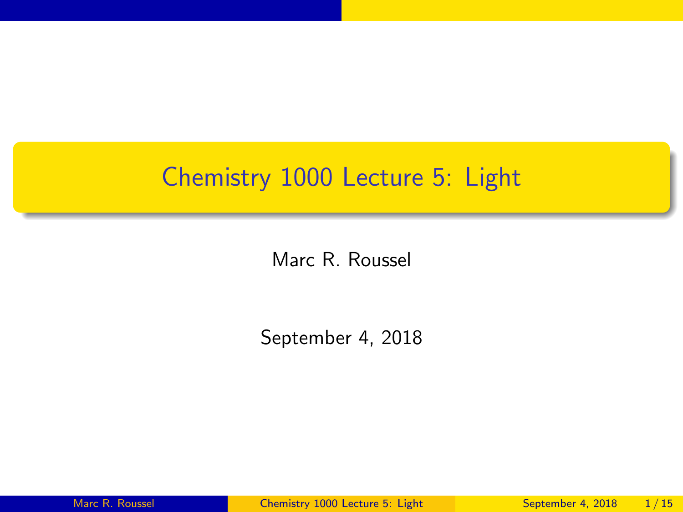## <span id="page-0-0"></span>Chemistry 1000 Lecture 5: Light

Marc R. Roussel

September 4, 2018

Marc R. Roussel [Chemistry 1000 Lecture 5: Light](#page-14-0) September 4, 2018 1/15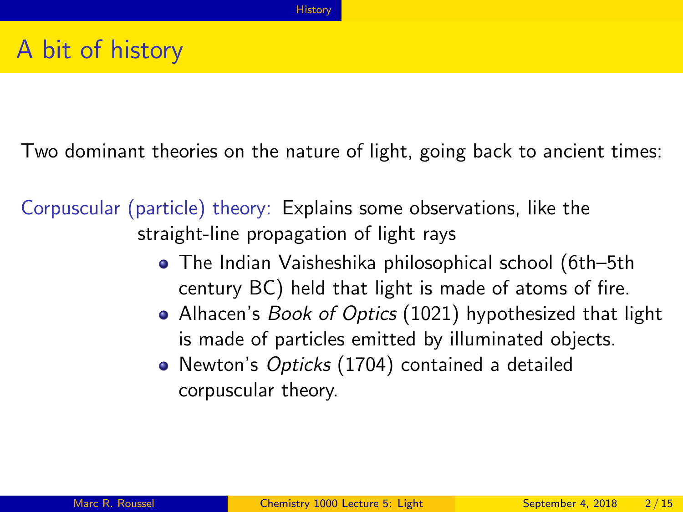<span id="page-1-0"></span>Two dominant theories on the nature of light, going back to ancient times:

Corpuscular (particle) theory: Explains some observations, like the straight-line propagation of light rays

- The Indian Vaisheshika philosophical school (6th–5th century BC) held that light is made of atoms of fire.
- Alhacen's Book of Optics (1021) hypothesized that light is made of particles emitted by illuminated objects.
- Newton's Opticks (1704) contained a detailed corpuscular theory.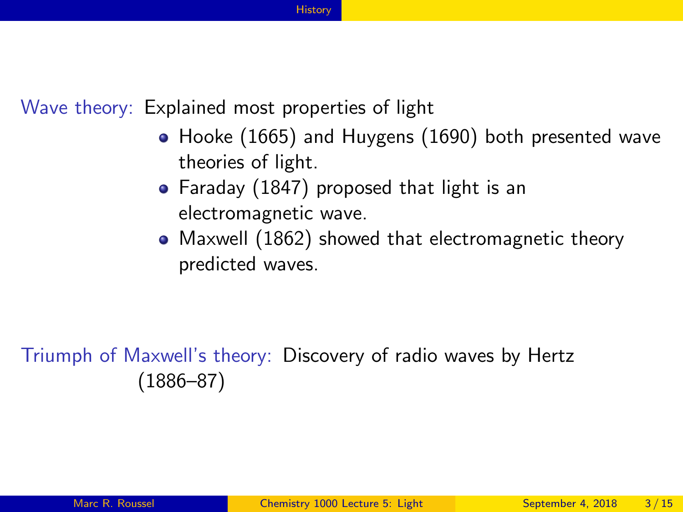#### **[History](#page-1-0)**

Wave theory: Explained most properties of light

- Hooke (1665) and Huygens (1690) both presented wave theories of light.
- Faraday (1847) proposed that light is an electromagnetic wave.
- Maxwell (1862) showed that electromagnetic theory predicted waves.

Triumph of Maxwell's theory: Discovery of radio waves by Hertz (1886–87)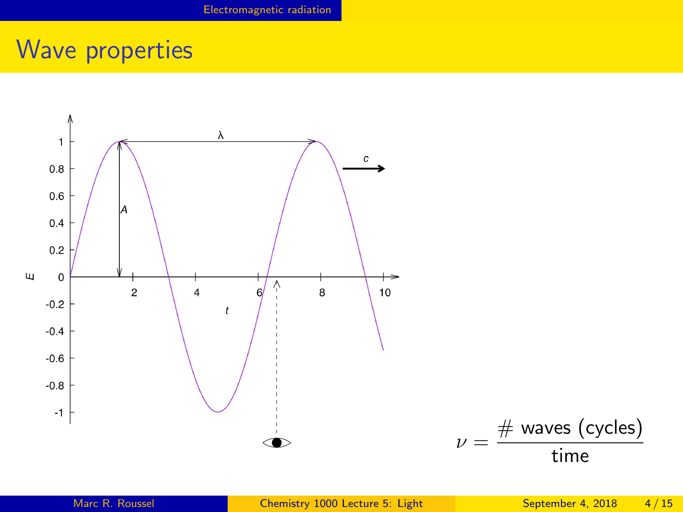# <span id="page-3-0"></span>Wave properties

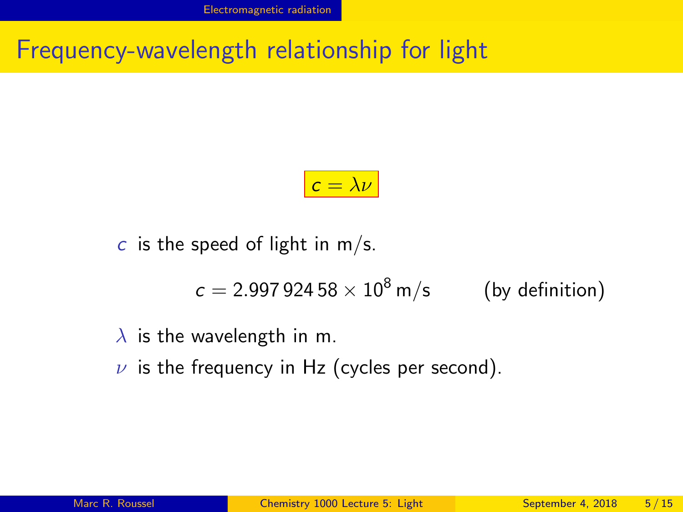Frequency-wavelength relationship for light

$$
c = \lambda \nu
$$

c is the speed of light in  $m/s$ .

$$
c = 2.997\,924\,58 \times 10^8\,\mathrm{m/s}
$$
 (by definition)

#### $\lambda$  is the wavelength in m.

 $\nu$  is the frequency in Hz (cycles per second).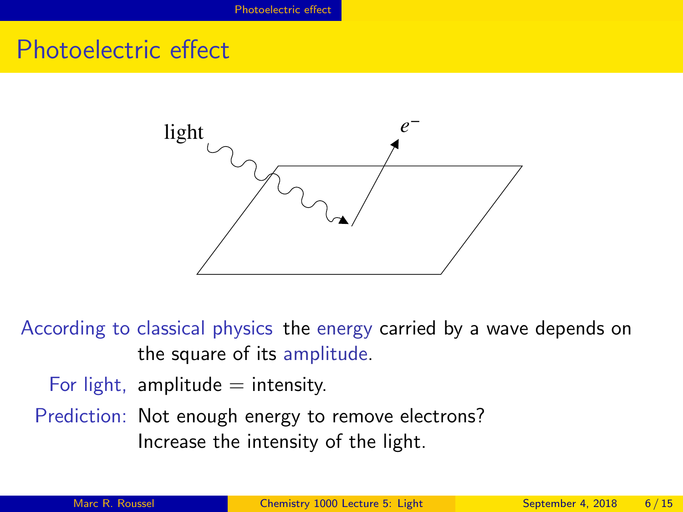### <span id="page-5-0"></span>Photoelectric effect



According to classical physics the energy carried by a wave depends on the square of its amplitude.

For light, amplitude  $=$  intensity.

Prediction: Not enough energy to remove electrons? Increase the intensity of the light.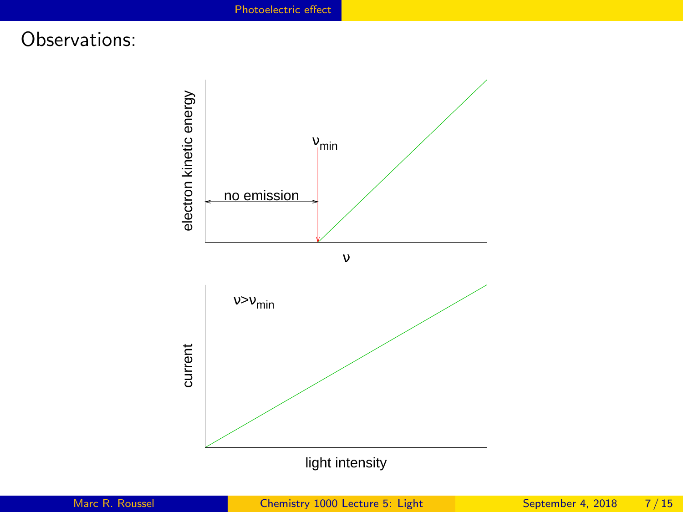#### Observations:

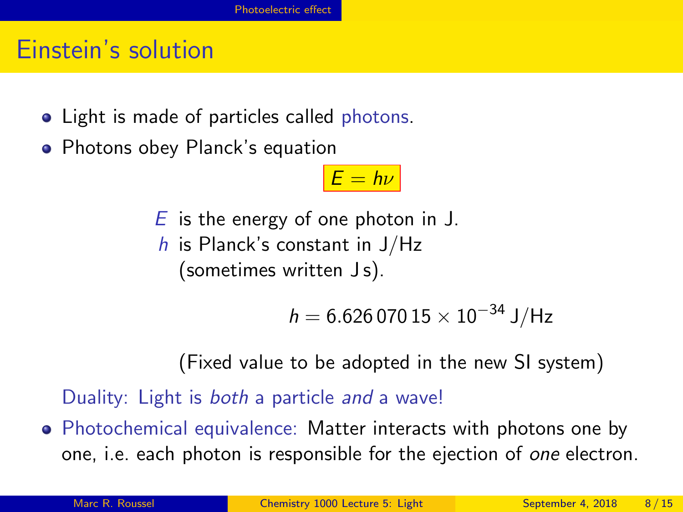#### Einstein's solution

- Light is made of particles called photons.
- Photons obey Planck's equation

 $F = h\nu$ 

- $E$  is the energy of one photon in J.
- $h$  is Planck's constant in J/Hz (sometimes written Js).

 $h = 6.62607015 \times 10^{-34}$  J/Hz

(Fixed value to be adopted in the new SI system)

Duality: Light is *both* a particle and a wave!

• Photochemical equivalence: Matter interacts with photons one by one, i.e. each photon is responsible for the ejection of one electron.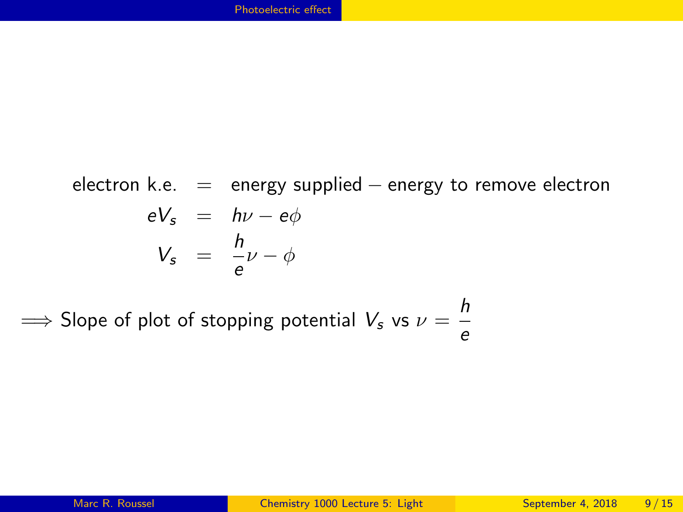electron k.e.  $=$  energy supplied  $-$  energy to remove electron  $eV_s = h\nu - e\phi$  $V_s = \frac{h}{a}$  $\frac{0}{e} \nu - \phi$ 

 $\implies$  Slope of plot of stopping potential  $V_s$  vs  $\nu = \frac{h}{a}$ e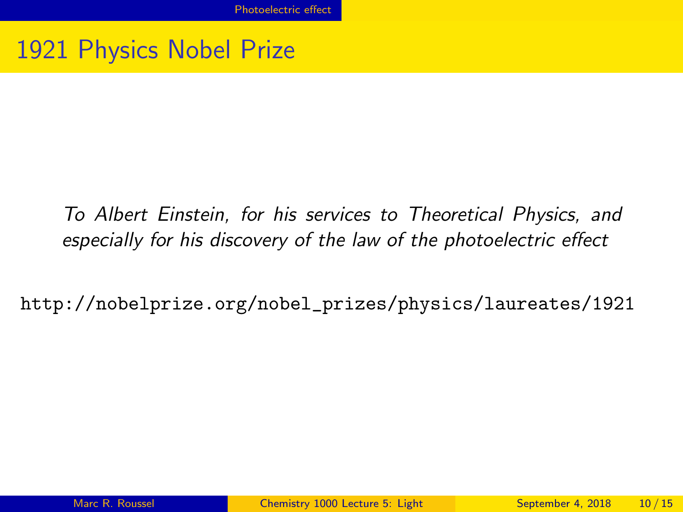### 1921 Physics Nobel Prize

To Albert Einstein, for his services to Theoretical Physics, and especially for his discovery of the law of the photoelectric effect

[http://nobelprize.org/nobel\\_prizes/physics/laureates/1921](http://nobelprize.org/nobel_prizes/physics/laureates/1921)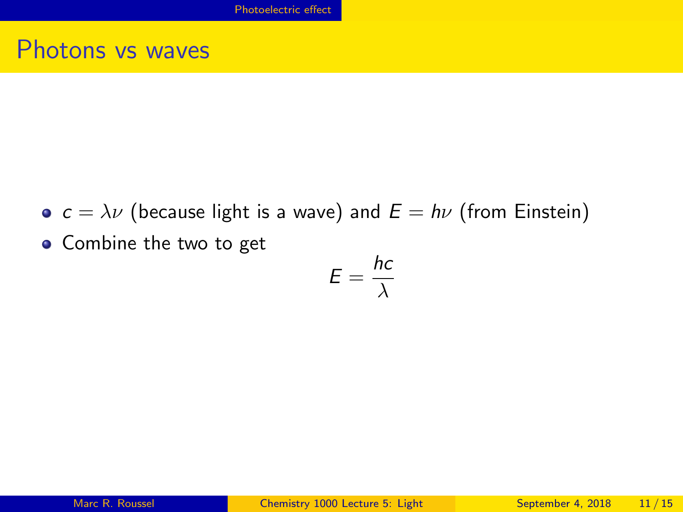#### Photons vs waves

- $c = \lambda \nu$  (because light is a wave) and  $E = h\nu$  (from Einstein)
- Combine the two to get

$$
E=\frac{hc}{\lambda}
$$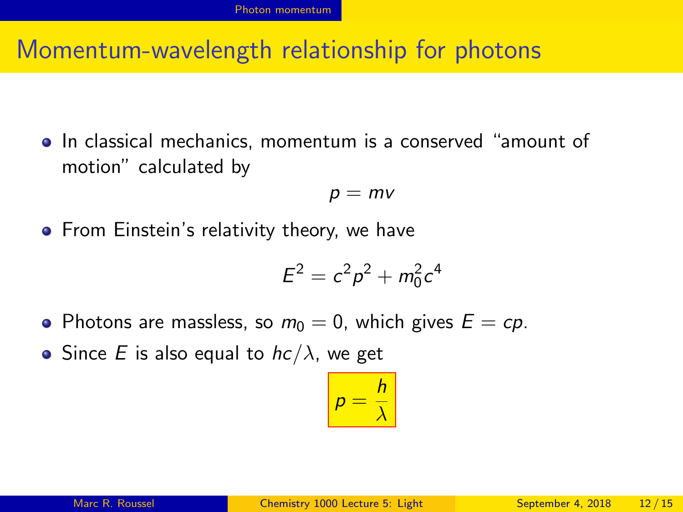#### <span id="page-11-0"></span>Momentum-wavelength relationship for photons

**•** In classical mechanics, momentum is a conserved "amount of motion" calculated by

$$
p = mv
$$

• From Einstein's relativity theory, we have

$$
E^2=c^2p^2+m_0^2c^4
$$

- Photons are massless, so  $m_0 = 0$ , which gives  $E = cp$ .
- Since E is also equal to  $hc/\lambda$ , we get

$$
p=\frac{h}{\lambda}
$$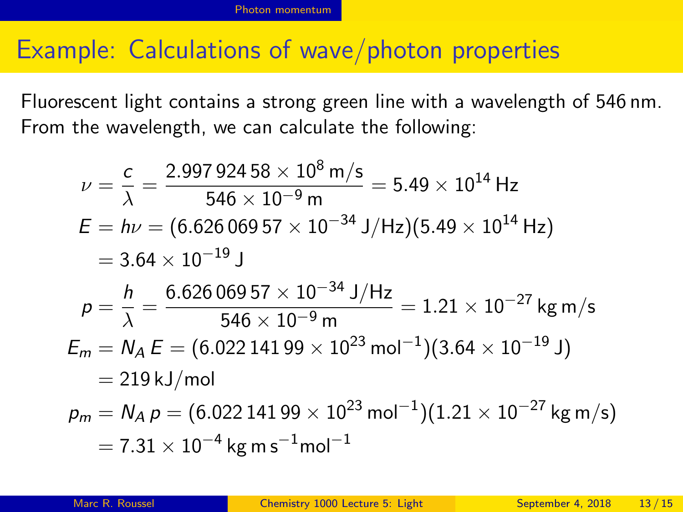#### Example: Calculations of wave/photon properties

Fluorescent light contains a strong green line with a wavelength of 546 nm. From the wavelength, we can calculate the following:

$$
\nu = \frac{c}{\lambda} = \frac{2.99792458 \times 10^8 \text{ m/s}}{546 \times 10^{-9} \text{ m}} = 5.49 \times 10^{14} \text{ Hz}
$$
  
\n
$$
E = h\nu = (6.62606957 \times 10^{-34} \text{ J/Hz})(5.49 \times 10^{14} \text{ Hz})
$$
  
\n
$$
= 3.64 \times 10^{-19} \text{ J}
$$
  
\n
$$
p = \frac{h}{\lambda} = \frac{6.62606957 \times 10^{-34} \text{ J/Hz}}{546 \times 10^{-9} \text{ m}} = 1.21 \times 10^{-27} \text{ kg m/s}
$$
  
\n
$$
E_m = N_A E = (6.02214199 \times 10^{23} \text{ mol}^{-1})(3.64 \times 10^{-19} \text{ J})
$$
  
\n
$$
= 219 \text{ kJ/mol}
$$
  
\n
$$
p_m = N_A p = (6.02214199 \times 10^{23} \text{ mol}^{-1})(1.21 \times 10^{-27} \text{ kg m/s})
$$
  
\n
$$
= 7.31 \times 10^{-4} \text{ kg m s}^{-1} \text{mol}^{-1}
$$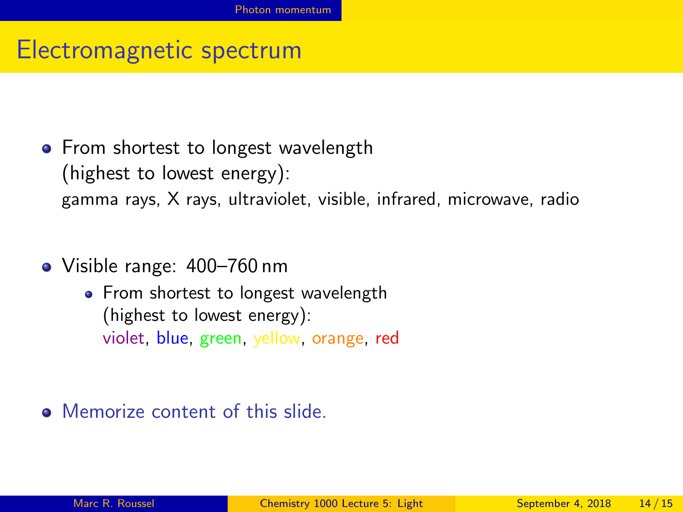#### Electromagnetic spectrum

- From shortest to longest wavelength (highest to lowest energy): gamma rays, X rays, ultraviolet, visible, infrared, microwave, radio
- Visible range: 400–760 nm
	- From shortest to longest wavelength (highest to lowest energy): violet, blue, green, yellow, orange, red

**O** Memorize content of this slide.